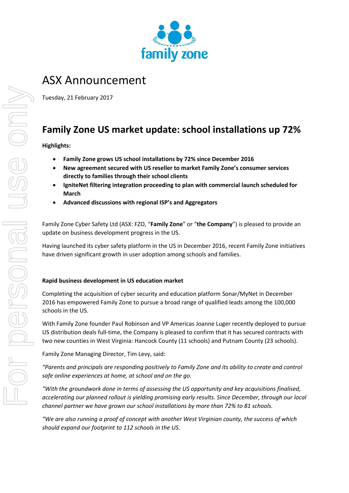

# ASX Announcement

Tuesday, 21 February 2017

## **Family Zone US market update: school installations up 72%**

### **Highlights:**

- **Family Zone grows US school installations by 72% since December 2016**
- **New agreement secured with US reseller to market Family Zone's consumer services directly to families through their school clients**
- **IgniteNet filtering integration proceeding to plan with commercial launch scheduled for March**
- **Advanced discussions with regional ISP's and Aggregators**

Family Zone Cyber Safety Ltd (ASX: FZO, "**Family Zone**" or "**the Company**") is pleased to provide an update on business development progress in the US.

Having launched its cyber safety platform in the US in December 2016, recent Family Zone initiatives have driven significant growth in user adoption among schools and families.

### **Rapid business development in US education market**

Completing the acquisition of cyber security and education platform Sonar/MyNet in December 2016 has empowered Family Zone to pursue a broad range of qualified leads among the 100,000 schools in the US.

With Family Zone founder Paul Robinson and VP Americas Joanne Luger recently deployed to pursue US distribution deals full-time, the Company is pleased to confirm that it has secured contracts with two new counties in West Virginia: Hancock County (11 schools) and Putnam County (23 schools).

Family Zone Managing Director, Tim Levy, said:

*"Parents and principals are responding positively to Family Zone and its ability to create and control safe online experiences at home, at school and on the go.* 

*"With the groundwork done in terms of assessing the US opportunity and key acquisitions finalised, accelerating our planned rollout is yielding promising early results. Since December, through our local channel partner we have grown our school installations by more than 72% to 81 schools.* 

*"We are also running a proof of concept with another West Virginian county, the success of which should expand our footprint to 112 schools in the US.*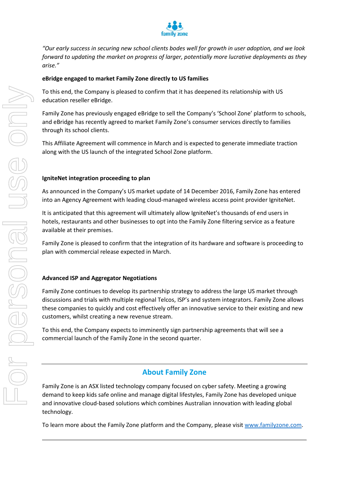

*"Our early success in securing new school clients bodes well for growth in user adoption, and we look forward to updating the market on progress of larger, potentially more lucrative deployments as they arise."*

#### **eBridge engaged to market Family Zone directly to US families**

To this end, the Company is pleased to confirm that it has deepened its relationship with US education reseller eBridge.

Family Zone has previously engaged eBridge to sell the Company's 'School Zone' platform to schools, and eBridge has recently agreed to market Family Zone's consumer services directly to families through its school clients.

This Affiliate Agreement will commence in March and is expected to generate immediate traction along with the US launch of the integrated School Zone platform.

#### **IgniteNet integration proceeding to plan**

As announced in the Company's US market update of 14 December 2016, Family Zone has entered into an Agency Agreement with leading cloud-managed wireless access point provider IgniteNet.

It is anticipated that this agreement will ultimately allow IgniteNet's thousands of end users in hotels, restaurants and other businesses to opt into the Family Zone filtering service as a feature available at their premises.

Family Zone is pleased to confirm that the integration of its hardware and software is proceeding to plan with commercial release expected in March.

#### **Advanced ISP and Aggregator Negotiations**

Family Zone continues to develop its partnership strategy to address the large US market through discussions and trials with multiple regional Telcos, ISP's and system integrators. Family Zone allows these companies to quickly and cost effectively offer an innovative service to their existing and new customers, whilst creating a new revenue stream.

To this end, the Company expects to imminently sign partnership agreements that will see a commercial launch of the Family Zone in the second quarter.

## **About Family Zone**

Family Zone is an ASX listed technology company focused on cyber safety. Meeting a growing demand to keep kids safe online and manage digital lifestyles, Family Zone has developed unique and innovative cloud-based solutions which combines Australian innovation with leading global technology.

To learn more about the Family Zone platform and the Company, please visi[t www.familyzone.com.](http://www.familyzone.com/)